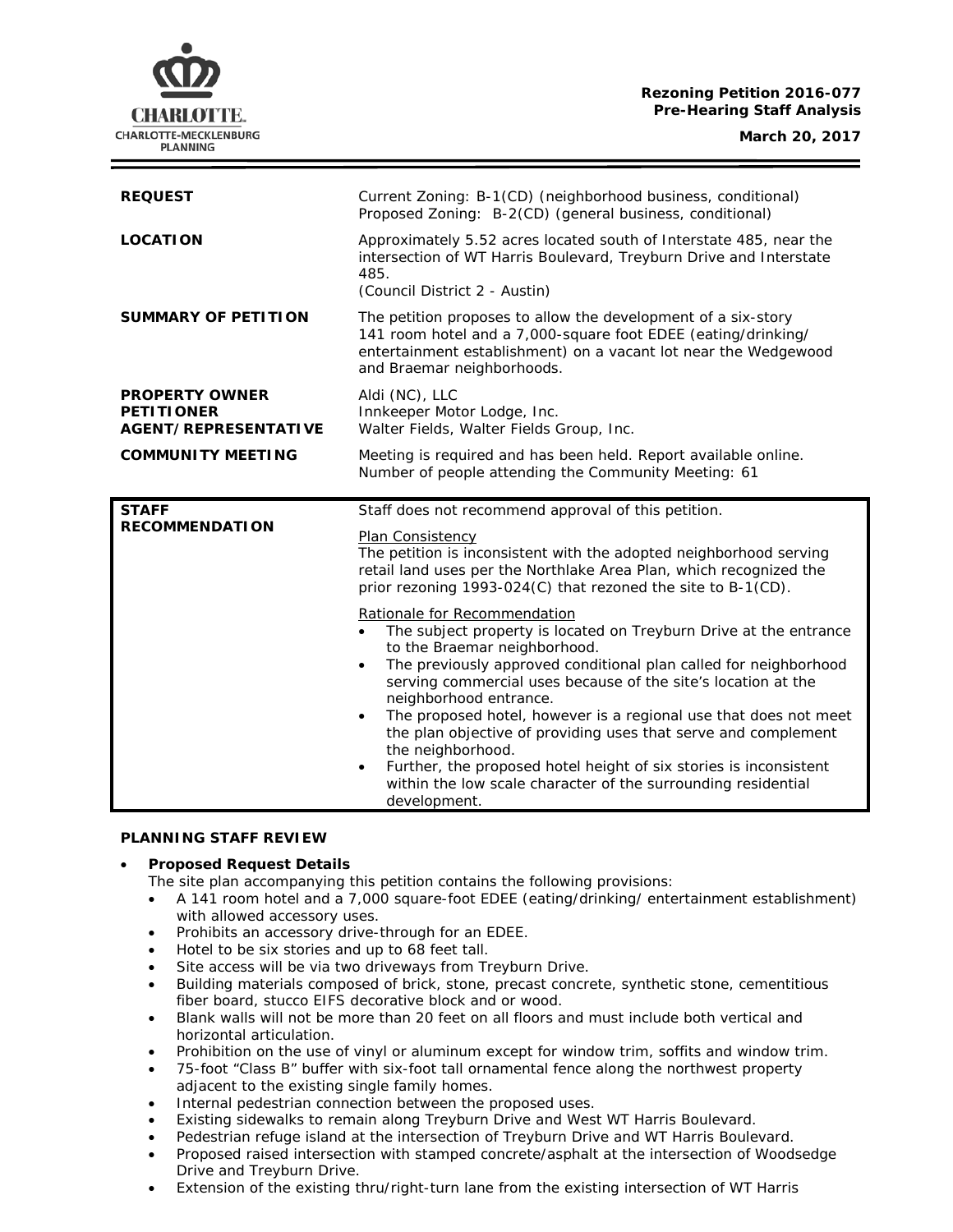# **Rezoning Petition 2016-077 Pre-Hearing Staff Analysis**

| <b>REQUEST</b>                                                            | Current Zoning: B-1(CD) (neighborhood business, conditional)<br>Proposed Zoning: B-2(CD) (general business, conditional)                                                                                                        |
|---------------------------------------------------------------------------|---------------------------------------------------------------------------------------------------------------------------------------------------------------------------------------------------------------------------------|
| <b>LOCATION</b>                                                           | Approximately 5.52 acres located south of Interstate 485, near the<br>intersection of WT Harris Boulevard, Treyburn Drive and Interstate<br>485.<br>(Council District 2 - Austin)                                               |
| <b>SUMMARY OF PETITION</b>                                                | The petition proposes to allow the development of a six-story<br>141 room hotel and a 7,000-square foot EDEE (eating/drinking/<br>entertainment establishment) on a vacant lot near the Wedgewood<br>and Braemar neighborhoods. |
| <b>PROPERTY OWNER</b><br><b>PETITIONER</b><br><b>AGENT/REPRESENTATIVE</b> | Aldi (NC), LLC<br>Innkeeper Motor Lodge, Inc.<br>Walter Fields, Walter Fields Group, Inc.                                                                                                                                       |
| <b>COMMUNITY MEETING</b>                                                  | Meeting is required and has been held. Report available online.<br>Number of people attending the Community Meeting: 61                                                                                                         |
| <b>STAFF</b>                                                              | Staff does not recommend approval of this petition.                                                                                                                                                                             |
| <b>RECOMMENDATION</b>                                                     | Plan Consistency<br>The petition is inconsistent with the adopted neighborhood serving<br>retail land uses per the Northlake Area Plan, which recognized the<br>prior rezoning 1993-024(C) that rezoned the site to B-1(CD).    |
|                                                                           | Rationale for Recommendation                                                                                                                                                                                                    |

#### **PLANNING STAFF REVIEW**

### • **Proposed Request Details**

The site plan accompanying this petition contains the following provisions:

- A 141 room hotel and a 7,000 square-foot EDEE (eating/drinking/ entertainment establishment) with allowed accessory uses.
- Prohibits an accessory drive-through for an EDEE.
- Hotel to be six stories and up to 68 feet tall.
- Site access will be via two driveways from Treyburn Drive.
- Building materials composed of brick, stone, precast concrete, synthetic stone, cementitious fiber board, stucco EIFS decorative block and or wood.
- Blank walls will not be more than 20 feet on all floors and must include both vertical and horizontal articulation.
- Prohibition on the use of vinyl or aluminum except for window trim, soffits and window trim.
- 75-foot "Class B" buffer with six-foot tall ornamental fence along the northwest property adjacent to the existing single family homes.
- Internal pedestrian connection between the proposed uses.
- Existing sidewalks to remain along Treyburn Drive and West WT Harris Boulevard.
- Pedestrian refuge island at the intersection of Treyburn Drive and WT Harris Boulevard.
- Proposed raised intersection with stamped concrete/asphalt at the intersection of Woodsedge Drive and Treyburn Drive.
- Extension of the existing thru/right-turn lane from the existing intersection of WT Harris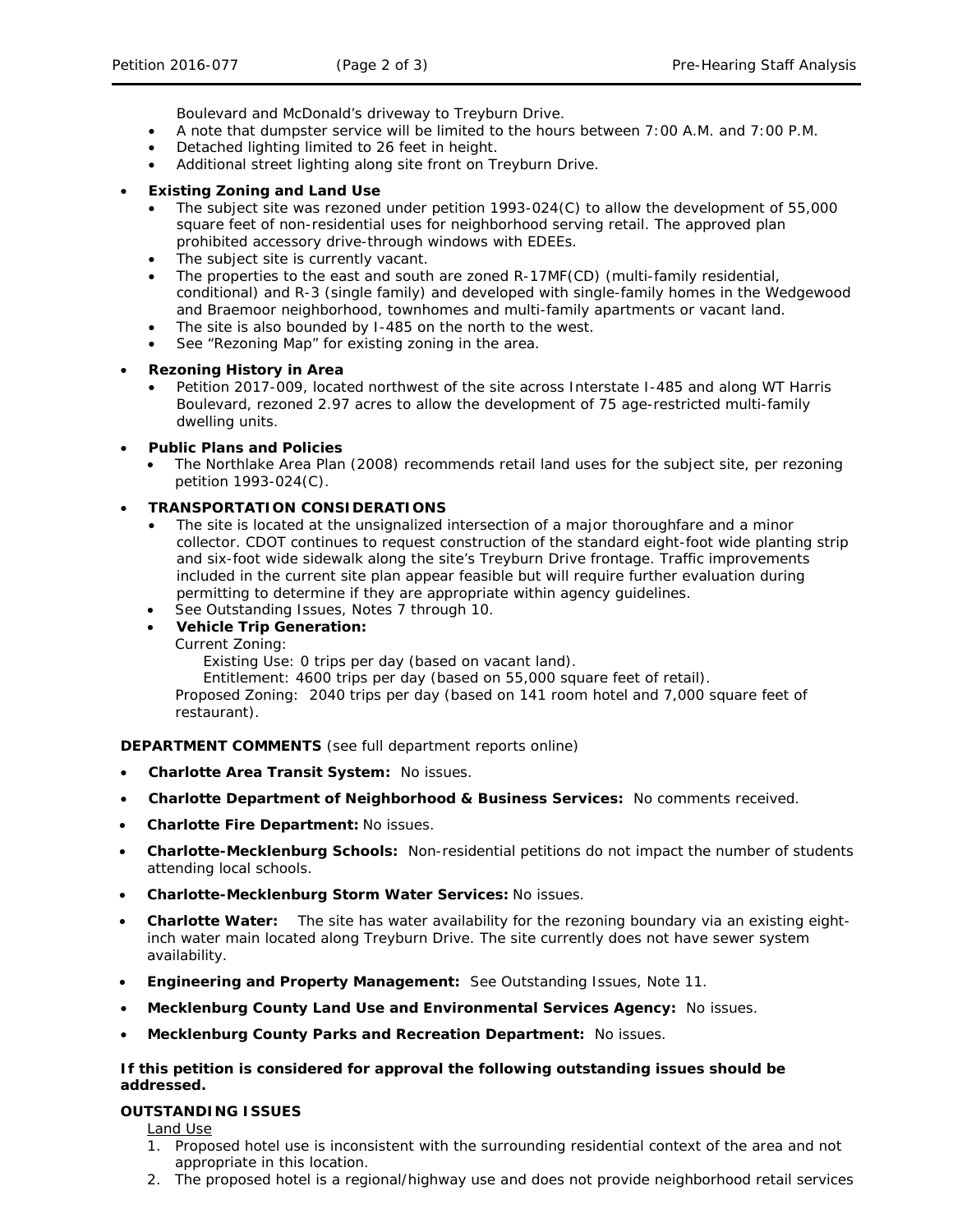Boulevard and McDonald's driveway to Treyburn Drive.

- A note that dumpster service will be limited to the hours between 7:00 A.M. and 7:00 P.M.
- Detached lighting limited to 26 feet in height.
- Additional street lighting along site front on Treyburn Drive.
- **Existing Zoning and Land Use**
	- The subject site was rezoned under petition 1993-024(C) to allow the development of 55,000 square feet of non-residential uses for neighborhood serving retail. The approved plan prohibited accessory drive-through windows with EDEEs.
	- The subject site is currently vacant.
	- The properties to the east and south are zoned R-17MF(CD) (multi-family residential, conditional) and R-3 (single family) and developed with single-family homes in the Wedgewood and Braemoor neighborhood, townhomes and multi-family apartments or vacant land.
	- The site is also bounded by I-485 on the north to the west.
	- See "Rezoning Map" for existing zoning in the area.

# • **Rezoning History in Area**

• Petition 2017-009, located northwest of the site across Interstate I-485 and along WT Harris Boulevard, rezoned 2.97 acres to allow the development of 75 age-restricted multi-family dwelling units.

# • **Public Plans and Policies**

• The *Northlake Area Plan* (2008) recommends retail land uses for the subject site, per rezoning petition 1993-024(C).

# • **TRANSPORTATION CONSIDERATIONS**

- The site is located at the unsignalized intersection of a major thoroughfare and a minor collector. CDOT continues to request construction of the standard eight-foot wide planting strip and six-foot wide sidewalk along the site's Treyburn Drive frontage. Traffic improvements included in the current site plan appear feasible but will require further evaluation during permitting to determine if they are appropriate within agency guidelines.
- See Outstanding Issues, Notes 7 through 10.
- **Vehicle Trip Generation:**

Current Zoning:

Existing Use: 0 trips per day (based on vacant land).

Entitlement: 4600 trips per day (based on 55,000 square feet of retail).

Proposed Zoning: 2040 trips per day (based on 141 room hotel and 7,000 square feet of restaurant).

**DEPARTMENT COMMENTS** (see full department reports online)

- **Charlotte Area Transit System:** No issues.
- **Charlotte Department of Neighborhood & Business Services:** No comments received.
- **Charlotte Fire Department:** No issues.
- **Charlotte-Mecklenburg Schools:** Non-residential petitions do not impact the number of students attending local schools.
- **Charlotte-Mecklenburg Storm Water Services:** No issues.
- **Charlotte Water:** The site has water availability for the rezoning boundary via an existing eightinch water main located along Treyburn Drive. The site currently does not have sewer system availability.
- **Engineering and Property Management:** See Outstanding Issues, Note 11.
- **Mecklenburg County Land Use and Environmental Services Agency:** No issues.
- **Mecklenburg County Parks and Recreation Department:** No issues.

### **If this petition is considered for approval the following outstanding issues should be addressed.**

### **OUTSTANDING ISSUES**

Land Use

- 1. Proposed hotel use is inconsistent with the surrounding residential context of the area and not appropriate in this location.
- 2. The proposed hotel is a regional/highway use and does not provide neighborhood retail services